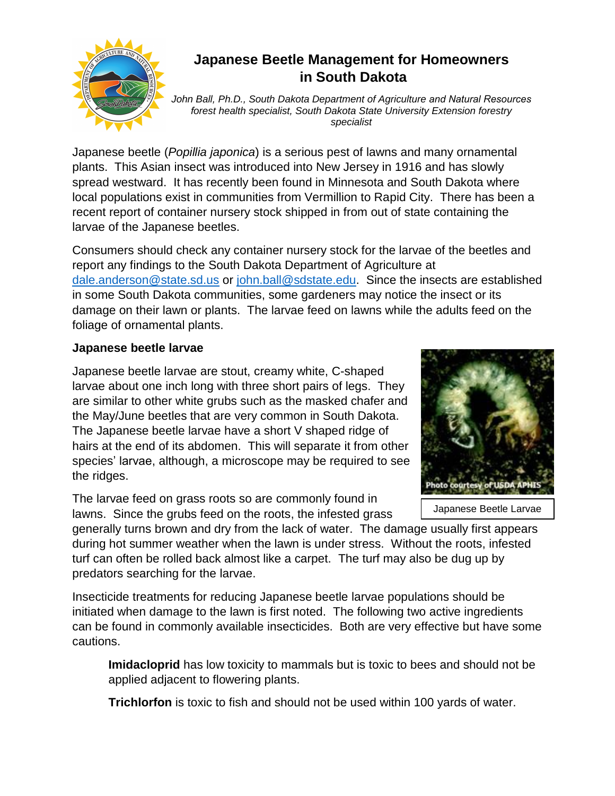

## **Japanese Beetle Management for Homeowners in South Dakota**

*John Ball, Ph.D., South Dakota Department of Agriculture and Natural Resources forest health specialist, South Dakota State University Extension forestry specialist* 

Japanese beetle (*Popillia japonica*) is a serious pest of lawns and many ornamental plants. This Asian insect was introduced into New Jersey in 1916 and has slowly spread westward. It has recently been found in Minnesota and South Dakota where local populations exist in communities from Vermillion to Rapid City. There has been a recent report of container nursery stock shipped in from out of state containing the larvae of the Japanese beetles.

Consumers should check any container nursery stock for the larvae of the beetles and report any findings to the South Dakota Department of Agriculture at [dale.anderson@state.sd.us](mailto:dale.anderson@state.sd.us) or [john.ball@sdstate.edu.](mailto:john.ball@sdstate.edu) Since the insects are established in some South Dakota communities, some gardeners may notice the insect or its damage on their lawn or plants. The larvae feed on lawns while the adults feed on the foliage of ornamental plants.

## **Japanese beetle larvae**

Japanese beetle larvae are stout, creamy white, C-shaped larvae about one inch long with three short pairs of legs. They are similar to other white grubs such as the masked chafer and the May/June beetles that are very common in South Dakota. The Japanese beetle larvae have a short V shaped ridge of hairs at the end of its abdomen. This will separate it from other species' larvae, although, a microscope may be required to see the ridges.

The larvae feed on grass roots so are commonly found in lawns. Since the grubs feed on the roots, the infested grass



Japanese Beetle Larvae

generally turns brown and dry from the lack of water. The damage usually first appears during hot summer weather when the lawn is under stress. Without the roots, infested turf can often be rolled back almost like a carpet. The turf may also be dug up by predators searching for the larvae.

Insecticide treatments for reducing Japanese beetle larvae populations should be initiated when damage to the lawn is first noted. The following two active ingredients can be found in commonly available insecticides. Both are very effective but have some cautions.

**Imidacloprid** has low toxicity to mammals but is toxic to bees and should not be applied adjacent to flowering plants.

**Trichlorfon** is toxic to fish and should not be used within 100 yards of water.